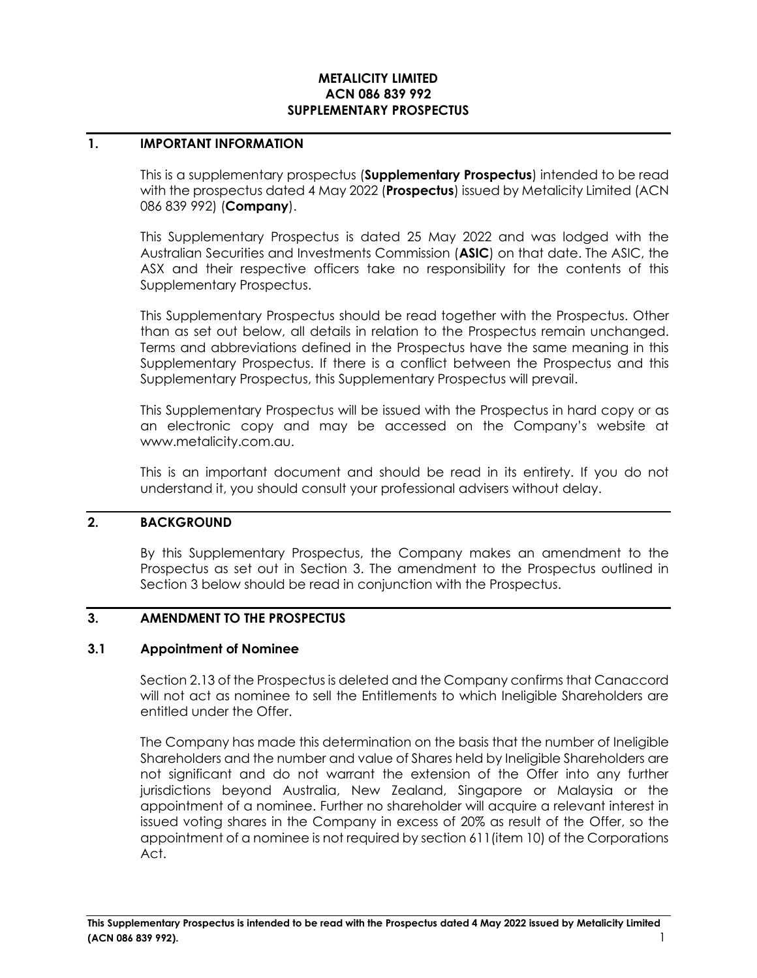## **METALICITY LIMITED ACN 086 839 992 SUPPLEMENTARY PROSPECTUS**

## **1. IMPORTANT INFORMATION**

This is a supplementary prospectus (**Supplementary Prospectus**) intended to be read with the prospectus dated 4 May 2022 (**Prospectus**) issued by Metalicity Limited (ACN 086 839 992) (**Company**).

This Supplementary Prospectus is dated 25 May 2022 and was lodged with the Australian Securities and Investments Commission (**ASIC**) on that date. The ASIC, the ASX and their respective officers take no responsibility for the contents of this Supplementary Prospectus.

This Supplementary Prospectus should be read together with the Prospectus. Other than as set out below, all details in relation to the Prospectus remain unchanged. Terms and abbreviations defined in the Prospectus have the same meaning in this Supplementary Prospectus. If there is a conflict between the Prospectus and this Supplementary Prospectus, this Supplementary Prospectus will prevail.

This Supplementary Prospectus will be issued with the Prospectus in hard copy or as an electronic copy and may be accessed on the Company's website at www.metalicity.com.au.

This is an important document and should be read in its entirety. If you do not understand it, you should consult your professional advisers without delay.

# **2. BACKGROUND**

By this Supplementary Prospectus, the Company makes an amendment to the Prospectus as set out in Section 3. The amendment to the Prospectus outlined in Section 3 below should be read in conjunction with the Prospectus.

# **3. AMENDMENT TO THE PROSPECTUS**

#### **3.1 Appointment of Nominee**

Section 2.13 of the Prospectus is deleted and the Company confirms that Canaccord will not act as nominee to sell the Entitlements to which Ineligible Shareholders are entitled under the Offer.

The Company has made this determination on the basis that the number of Ineligible Shareholders and the number and value of Shares held by Ineligible Shareholders are not significant and do not warrant the extension of the Offer into any further jurisdictions beyond Australia, New Zealand, Singapore or Malaysia or the appointment of a nominee. Further no shareholder will acquire a relevant interest in issued voting shares in the Company in excess of 20% as result of the Offer, so the appointment of a nominee is not required by section 611(item 10) of the Corporations Act.